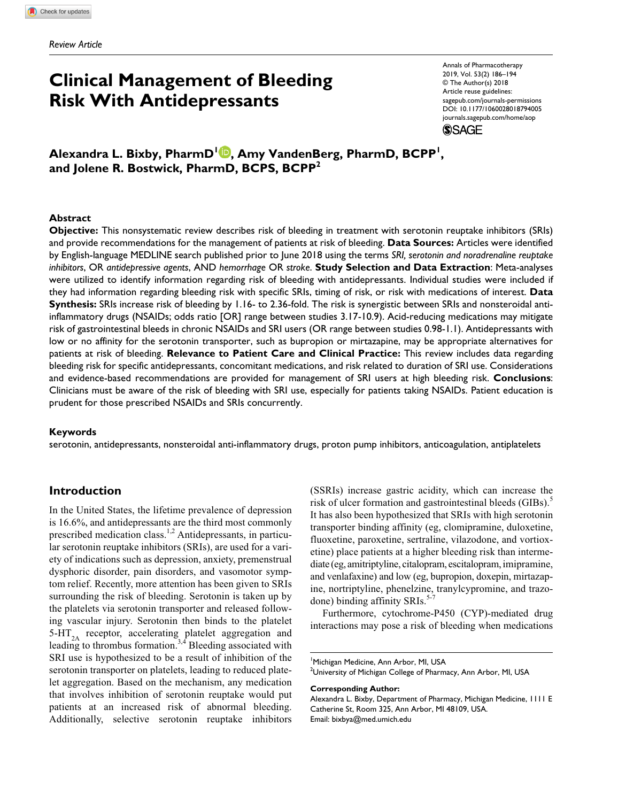# **Clinical Management of Bleeding Risk With Antidepressants**

Annals of Pharmacotherapy 2019, Vol. 53(2) 186–194 © The Author(s) 2018 Article reuse guidelines: [sagepub.com/journals-permissions](https://us.sagepub.com/en-us/journals-permissions) DOI: 10.1177/1060028018794005 [journals.sagepub.com/home/aop](https://journals.sagepub.com/home/aop) **SSAGE** 

**Alexandra L. Bixby, PharmD1 , Amy VandenBerg, PharmD, BCPP1 , and Jolene R. Bostwick, PharmD, BCPS, BCPP2**

#### **Abstract**

**Objective:** This nonsystematic review describes risk of bleeding in treatment with serotonin reuptake inhibitors (SRIs) and provide recommendations for the management of patients at risk of bleeding. **Data Sources:** Articles were identified by English-language MEDLINE search published prior to June 2018 using the terms *SRI, serotonin and noradrenaline reuptake inhibitors*, OR *antidepressive agents*, AND *hemorrhage* OR *stroke*. **Study Selection and Data Extraction**: Meta-analyses were utilized to identify information regarding risk of bleeding with antidepressants. Individual studies were included if they had information regarding bleeding risk with specific SRIs, timing of risk, or risk with medications of interest. **Data Synthesis:** SRIs increase risk of bleeding by 1.16- to 2.36-fold. The risk is synergistic between SRIs and nonsteroidal antiinflammatory drugs (NSAIDs; odds ratio [OR] range between studies 3.17-10.9). Acid-reducing medications may mitigate risk of gastrointestinal bleeds in chronic NSAIDs and SRI users (OR range between studies 0.98-1.1). Antidepressants with low or no affinity for the serotonin transporter, such as bupropion or mirtazapine, may be appropriate alternatives for patients at risk of bleeding. **Relevance to Patient Care and Clinical Practice:** This review includes data regarding bleeding risk for specific antidepressants, concomitant medications, and risk related to duration of SRI use. Considerations and evidence-based recommendations are provided for management of SRI users at high bleeding risk. **Conclusions**: Clinicians must be aware of the risk of bleeding with SRI use, especially for patients taking NSAIDs. Patient education is prudent for those prescribed NSAIDs and SRIs concurrently.

#### **Keywords**

serotonin, antidepressants, nonsteroidal anti-inflammatory drugs, proton pump inhibitors, anticoagulation, antiplatelets

# **Introduction**

In the United States, the lifetime prevalence of depression is 16.6%, and antidepressants are the third most commonly prescribed medication class.<sup>1,2</sup> Antidepressants, in particular serotonin reuptake inhibitors (SRIs), are used for a variety of indications such as depression, anxiety, premenstrual dysphoric disorder, pain disorders, and vasomotor symptom relief. Recently, more attention has been given to SRIs surrounding the risk of bleeding. Serotonin is taken up by the platelets via serotonin transporter and released following vascular injury. Serotonin then binds to the platelet 5-HT<sub>2</sub>, receptor, accelerating platelet aggregation and leading to thrombus formation.<sup>3,4</sup> Bleeding associated with SRI use is hypothesized to be a result of inhibition of the serotonin transporter on platelets, leading to reduced platelet aggregation. Based on the mechanism, any medication that involves inhibition of serotonin reuptake would put patients at an increased risk of abnormal bleeding. Additionally, selective serotonin reuptake inhibitors

(SSRIs) increase gastric acidity, which can increase the risk of ulcer formation and gastrointestinal bleeds (GIBs).<sup>5</sup> It has also been hypothesized that SRIs with high serotonin transporter binding affinity (eg, clomipramine, duloxetine, fluoxetine, paroxetine, sertraline, vilazodone, and vortioxetine) place patients at a higher bleeding risk than intermediate (eg, amitriptyline, citalopram, escitalopram, imipramine, and venlafaxine) and low (eg, bupropion, doxepin, mirtazapine, nortriptyline, phenelzine, tranylcypromine, and trazodone) binding affinity SRIs.<sup>5-7</sup>

Furthermore, cytochrome-P450 (CYP)-mediated drug interactions may pose a risk of bleeding when medications

#### **Corresponding Author:**

Alexandra L. Bixby, Department of Pharmacy, Michigan Medicine, 1111 E Catherine St, Room 325, Ann Arbor, MI 48109, USA. Email: [bixbya@med.umich.edu](mailto:bixbya@med.umich.edu)

<sup>1</sup> Michigan Medicine, Ann Arbor, MI, USA  $^2$ University of Michigan College of Pharmacy, Ann Arbor, MI, USA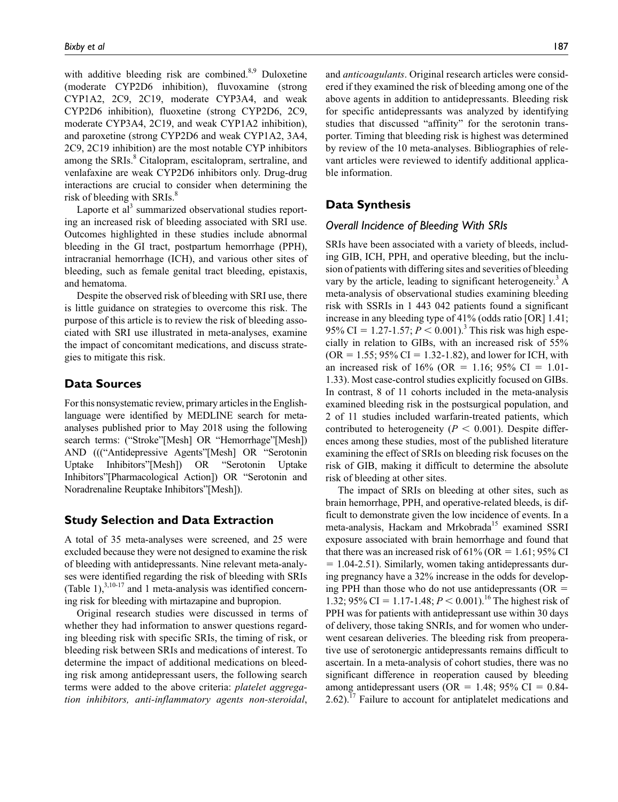with additive bleeding risk are combined.<sup>8,9</sup> Duloxetine (moderate CYP2D6 inhibition), fluvoxamine (strong CYP1A2, 2C9, 2C19, moderate CYP3A4, and weak CYP2D6 inhibition), fluoxetine (strong CYP2D6, 2C9, moderate CYP3A4, 2C19, and weak CYP1A2 inhibition), and paroxetine (strong CYP2D6 and weak CYP1A2, 3A4, 2C9, 2C19 inhibition) are the most notable CYP inhibitors among the SRIs.<sup>8</sup> Citalopram, escitalopram, sertraline, and venlafaxine are weak CYP2D6 inhibitors only. Drug-drug interactions are crucial to consider when determining the risk of bleeding with SRIs.<sup>8</sup>

Laporte et al<sup>3</sup> summarized observational studies reporting an increased risk of bleeding associated with SRI use. Outcomes highlighted in these studies include abnormal bleeding in the GI tract, postpartum hemorrhage (PPH), intracranial hemorrhage (ICH), and various other sites of bleeding, such as female genital tract bleeding, epistaxis, and hematoma.

Despite the observed risk of bleeding with SRI use, there is little guidance on strategies to overcome this risk. The purpose of this article is to review the risk of bleeding associated with SRI use illustrated in meta-analyses, examine the impact of concomitant medications, and discuss strategies to mitigate this risk.

## **Data Sources**

For this nonsystematic review, primary articles in the Englishlanguage were identified by MEDLINE search for metaanalyses published prior to May 2018 using the following search terms: ("Stroke"[Mesh] OR "Hemorrhage"[Mesh]) AND ((("Antidepressive Agents"[Mesh] OR "Serotonin Uptake Inhibitors"[Mesh]) OR "Serotonin Uptake Inhibitors"[Pharmacological Action]) OR "Serotonin and Noradrenaline Reuptake Inhibitors"[Mesh]).

# **Study Selection and Data Extraction**

A total of 35 meta-analyses were screened, and 25 were excluded because they were not designed to examine the risk of bleeding with antidepressants. Nine relevant meta-analyses were identified regarding the risk of bleeding with SRIs (Table 1), $^{3,10-17}$  and 1 meta-analysis was identified concerning risk for bleeding with mirtazapine and bupropion.

Original research studies were discussed in terms of whether they had information to answer questions regarding bleeding risk with specific SRIs, the timing of risk, or bleeding risk between SRIs and medications of interest. To determine the impact of additional medications on bleeding risk among antidepressant users, the following search terms were added to the above criteria: *platelet aggregation inhibitors, anti-inflammatory agents non-steroidal*,

and *anticoagulants*. Original research articles were considered if they examined the risk of bleeding among one of the above agents in addition to antidepressants. Bleeding risk for specific antidepressants was analyzed by identifying studies that discussed "affinity" for the serotonin transporter. Timing that bleeding risk is highest was determined by review of the 10 meta-analyses. Bibliographies of relevant articles were reviewed to identify additional applicable information.

## **Data Synthesis**

### *Overall Incidence of Bleeding With SRIs*

SRIs have been associated with a variety of bleeds, including GIB, ICH, PPH, and operative bleeding, but the inclusion of patients with differing sites and severities of bleeding vary by the article, leading to significant heterogeneity.<sup>3</sup> A meta-analysis of observational studies examining bleeding risk with SSRIs in 1 443 042 patients found a significant increase in any bleeding type of 41% (odds ratio [OR] 1.41; 95% CI = 1.27-1.57;  $P < 0.001$ ).<sup>3</sup> This risk was high especially in relation to GIBs, with an increased risk of 55%  $(OR = 1.55; 95\% CI = 1.32-1.82)$ , and lower for ICH, with an increased risk of  $16\%$  (OR = 1.16; 95% CI = 1.01-1.33). Most case-control studies explicitly focused on GIBs. In contrast, 8 of 11 cohorts included in the meta-analysis examined bleeding risk in the postsurgical population, and 2 of 11 studies included warfarin-treated patients, which contributed to heterogeneity ( $P < 0.001$ ). Despite differences among these studies, most of the published literature examining the effect of SRIs on bleeding risk focuses on the risk of GIB, making it difficult to determine the absolute risk of bleeding at other sites.

The impact of SRIs on bleeding at other sites, such as brain hemorrhage, PPH, and operative-related bleeds, is difficult to demonstrate given the low incidence of events. In a meta-analysis, Hackam and Mrkobrada<sup>15</sup> examined SSRI exposure associated with brain hemorrhage and found that that there was an increased risk of 61% (OR = 1.61; 95% CI  $= 1.04 - 2.51$ ). Similarly, women taking antidepressants during pregnancy have a 32% increase in the odds for developing PPH than those who do not use antidepressants ( $OR =$ 1.32; 95% CI = 1.17-1.48;  $P < 0.001$ ).<sup>16</sup> The highest risk of PPH was for patients with antidepressant use within 30 days of delivery, those taking SNRIs, and for women who underwent cesarean deliveries. The bleeding risk from preoperative use of serotonergic antidepressants remains difficult to ascertain. In a meta-analysis of cohort studies, there was no significant difference in reoperation caused by bleeding among antidepressant users (OR = 1.48; 95% CI =  $0.84$ -2.62).<sup>17</sup> Failure to account for antiplatelet medications and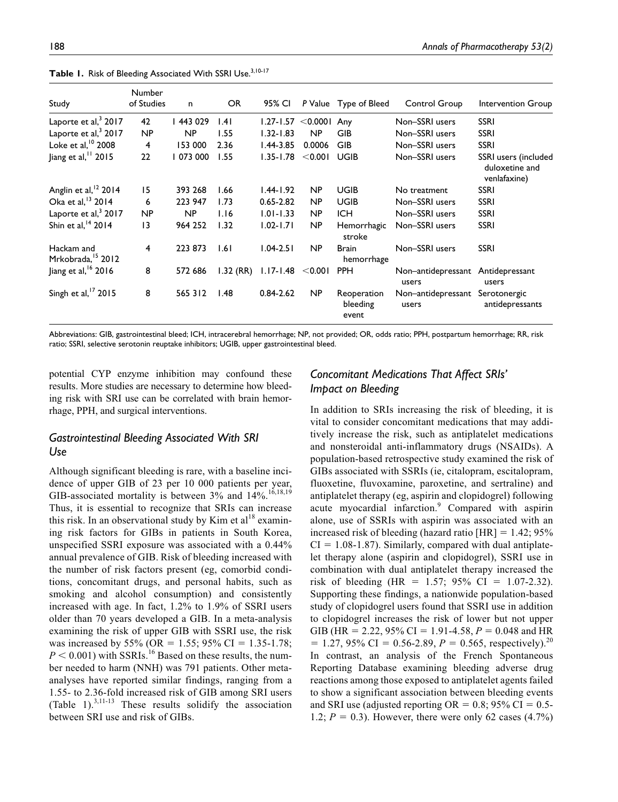| Study                                       | <b>Number</b><br>of Studies | n         | OR.         | 95% CI        |             | P Value Type of Bleed            | Control Group               | Intervention Group                                     |
|---------------------------------------------|-----------------------------|-----------|-------------|---------------|-------------|----------------------------------|-----------------------------|--------------------------------------------------------|
| Laporte et al, <sup>3</sup> 2017            | 42                          | 443 029   | 1.41        | $1.27 - 1.57$ | $<$ 0.000 l | Any                              | Non-SSRI users              | <b>SSRI</b>                                            |
| Laporte et al, <sup>3</sup> 2017            | NP                          | <b>NP</b> | 1.55        | $1.32 - 1.83$ | NP          | GIB                              | Non-SSRI users              | <b>SSRI</b>                                            |
| Loke et al, 10 2008                         | 4                           | 153 000   | 2.36        | $1.44 - 3.85$ | 0.0006      | <b>GIB</b>                       | Non-SSRI users              | <b>SSRI</b>                                            |
| Jiang et al, 11 2015                        | 22                          | 073 000   | 1.55        | $1.35 - 1.78$ | $<$ 0.001   | <b>UGIB</b>                      | Non-SSRI users              | SSRI users (included<br>duloxetine and<br>venlafaxine) |
| Anglin et al, <sup>12</sup> 2014            | 15                          | 393 268   | 1.66        | $1.44 - 1.92$ | NP          | <b>UGIB</b>                      | No treatment                | <b>SSRI</b>                                            |
| Oka et al, <sup>13</sup> 2014               | 6                           | 223 947   | 1.73        | $0.65 - 2.82$ | NP          | <b>UGIB</b>                      | Non-SSRI users              | <b>SSRI</b>                                            |
| Laporte et al, <sup>3</sup> 2017            | NP                          | NP        | 1.16        | $1.01 - 1.33$ | NP          | <b>ICH</b>                       | Non-SSRI users              | <b>SSRI</b>                                            |
| Shin et al, <sup>14</sup> 2014              | 13                          | 964 252   | 1.32        | $1.02 - 1.71$ | NP          | Hemorrhagic<br>stroke            | Non-SSRI users              | <b>SSRI</b>                                            |
| Hackam and<br>Mrkobrada, <sup>15</sup> 2012 | $\overline{4}$              | 223 873   | 1.61        | $1.04 - 2.51$ | NP          | <b>Brain</b><br>hemorrhage       | Non-SSRI users              | <b>SSRI</b>                                            |
| Jiang et al, <sup>16</sup> 2016             | 8                           | 572 686   | $1.32$ (RR) | $1.17 - 1.48$ | < 0.001     | <b>PPH</b>                       | Non-antidepressant<br>users | Antidepressant<br>users                                |
| Singh et al, $17$ 2015                      | 8                           | 565 312   | 1.48        | $0.84 - 2.62$ | <b>NP</b>   | Reoperation<br>bleeding<br>event | Non-antidepressant<br>users | Serotonergic<br>antidepressants                        |

Table 1. Risk of Bleeding Associated With SSRI Use.<sup>3,10-17</sup>

Abbreviations: GIB, gastrointestinal bleed; ICH, intracerebral hemorrhage; NP, not provided; OR, odds ratio; PPH, postpartum hemorrhage; RR, risk ratio; SSRI, selective serotonin reuptake inhibitors; UGIB, upper gastrointestinal bleed.

potential CYP enzyme inhibition may confound these results. More studies are necessary to determine how bleeding risk with SRI use can be correlated with brain hemorrhage, PPH, and surgical interventions.

# *Gastrointestinal Bleeding Associated With SRI Use*

Although significant bleeding is rare, with a baseline incidence of upper GIB of 23 per 10 000 patients per year, GIB-associated mortality is between  $3\%$  and  $14\%$ .<sup>16,18,19</sup> Thus, it is essential to recognize that SRIs can increase this risk. In an observational study by Kim et  $al<sup>18</sup>$  examining risk factors for GIBs in patients in South Korea, unspecified SSRI exposure was associated with a 0.44% annual prevalence of GIB. Risk of bleeding increased with the number of risk factors present (eg, comorbid conditions, concomitant drugs, and personal habits, such as smoking and alcohol consumption) and consistently increased with age. In fact, 1.2% to 1.9% of SSRI users older than 70 years developed a GIB. In a meta-analysis examining the risk of upper GIB with SSRI use, the risk was increased by 55% (OR = 1.55; 95% CI = 1.35-1.78;  $P < 0.001$ ) with SSRIs.<sup>16</sup> Based on these results, the number needed to harm (NNH) was 791 patients. Other metaanalyses have reported similar findings, ranging from a 1.55- to 2.36-fold increased risk of GIB among SRI users (Table 1).<sup>3,11-13</sup> These results solidify the association between SRI use and risk of GIBs.

# *Concomitant Medications That Affect SRIs' Impact on Bleeding*

In addition to SRIs increasing the risk of bleeding, it is vital to consider concomitant medications that may additively increase the risk, such as antiplatelet medications and nonsteroidal anti-inflammatory drugs (NSAIDs). A population-based retrospective study examined the risk of GIBs associated with SSRIs (ie, citalopram, escitalopram, fluoxetine, fluvoxamine, paroxetine, and sertraline) and antiplatelet therapy (eg, aspirin and clopidogrel) following acute myocardial infarction.<sup>9</sup> Compared with aspirin alone, use of SSRIs with aspirin was associated with an increased risk of bleeding (hazard ratio  $[HR] = 1.42; 95\%$  $CI = 1.08-1.87$ . Similarly, compared with dual antiplatelet therapy alone (aspirin and clopidogrel), SSRI use in combination with dual antiplatelet therapy increased the risk of bleeding (HR =  $1.57$ ; 95% CI =  $1.07-2.32$ ). Supporting these findings, a nationwide population-based study of clopidogrel users found that SSRI use in addition to clopidogrel increases the risk of lower but not upper GIB (HR = 2.22, 95% CI = 1.91-4.58,  $P = 0.048$  and HR  $= 1.27, 95\% \text{ CI} = 0.56 - 2.89, P = 0.565, respectively.$ <sup>20</sup> In contrast, an analysis of the French Spontaneous Reporting Database examining bleeding adverse drug reactions among those exposed to antiplatelet agents failed to show a significant association between bleeding events and SRI use (adjusted reporting  $OR = 0.8$ ; 95% CI = 0.5-1.2;  $P = 0.3$ ). However, there were only 62 cases  $(4.7%)$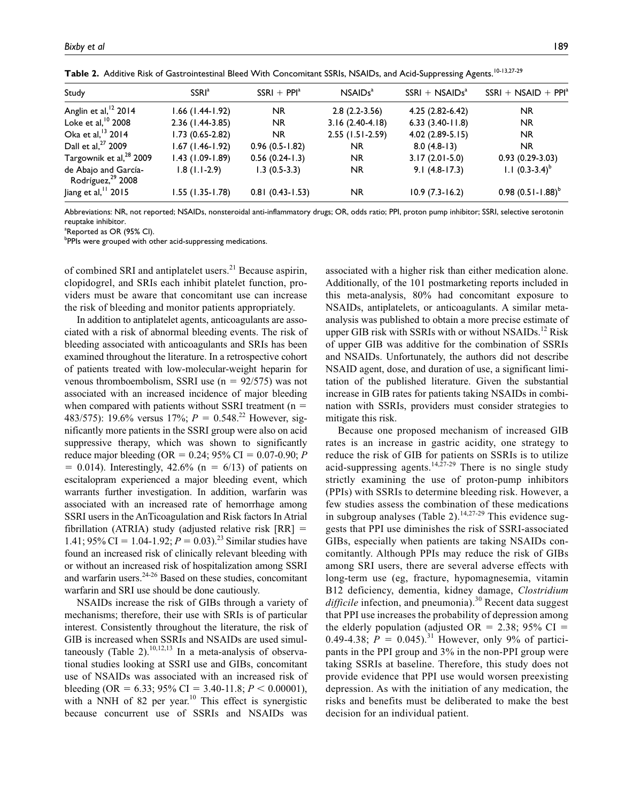| Study                                                 | <b>SSRI</b> <sup>a</sup> | $SSRI + PPIa$       | NSAIDs <sup>a</sup> | $SSRI + NSAIDsa$    | $SSRI + NSAID + PPIa$ |
|-------------------------------------------------------|--------------------------|---------------------|---------------------|---------------------|-----------------------|
| Anglin et al, <sup>12</sup> 2014                      | $1.66$ (1.44-1.92)       | <b>NR</b>           | $2.8(2.2-3.56)$     | $4.25(2.82 - 6.42)$ | <b>NR</b>             |
| Loke et al, $10$ 2008                                 | 2.36 (1.44-3.85)         | <b>NR</b>           | $3.16(2.40-4.18)$   | $6.33(3.40-11.8)$   | <b>NR</b>             |
| Oka et al, <sup>13</sup> 2014                         | $1.73(0.65-2.82)$        | NR.                 | $2.55$ (1.51-2.59)  | $4.02(2.89-5.15)$   | <b>NR</b>             |
| Dall et al, <sup>27</sup> 2009                        | $1.67$ (1.46-1.92)       | $0.96(0.5-1.82)$    | NR.                 | $8.0(4.8-13)$       | <b>NR</b>             |
| Targownik et al, <sup>28</sup> 2009                   | $1.43$ (1.09-1.89)       | $0.56(0.24-1.3)$    | NR.                 | $3.17(2.01 - 5.0)$  | $0.93(0.29-3.03)$     |
| de Abajo and García-<br>Rodríguez, <sup>29</sup> 2008 | $1.8(1.1-2.9)$           | $1.3(0.5-3.3)$      | <b>NR</b>           | $9.1(4.8-17.3)$     | 1.1 $(0.3-3.4)^{b}$   |
| Jiang et al, $1$ 2015                                 | $1.55$ (1.35-1.78)       | $0.81(0.43 - 1.53)$ | NR.                 | $10.9(7.3-16.2)$    | $0.98(0.51-1.88)^{b}$ |

Table 2. Additive Risk of Gastrointestinal Bleed With Concomitant SSRIs, NSAIDs, and Acid-Suppressing Agents.<sup>10-13,27-29</sup>

Abbreviations: NR, not reported; NSAIDs, nonsteroidal anti-inflammatory drugs; OR, odds ratio; PPI, proton pump inhibitor; SSRI, selective serotonin reuptake inhibitor.

<sup>a</sup>Reported as OR (95% CI).

<sup>b</sup>PPIs were grouped with other acid-suppressing medications.

of combined SRI and antiplatelet users.<sup>21</sup> Because aspirin, clopidogrel, and SRIs each inhibit platelet function, providers must be aware that concomitant use can increase the risk of bleeding and monitor patients appropriately.

In addition to antiplatelet agents, anticoagulants are associated with a risk of abnormal bleeding events. The risk of bleeding associated with anticoagulants and SRIs has been examined throughout the literature. In a retrospective cohort of patients treated with low-molecular-weight heparin for venous thromboembolism, SSRI use  $(n = 92/575)$  was not associated with an increased incidence of major bleeding when compared with patients without SSRI treatment ( $n =$ 483/575): 19.6% versus 17%; *P* = 0.548.22 However, significantly more patients in the SSRI group were also on acid suppressive therapy, which was shown to significantly reduce major bleeding (OR = 0.24; 95% CI = 0.07-0.90; *P*  $= 0.014$ ). Interestingly, 42.6% (n  $= 6/13$ ) of patients on escitalopram experienced a major bleeding event, which warrants further investigation. In addition, warfarin was associated with an increased rate of hemorrhage among SSRI users in the AnTicoagulation and Risk factors In Atrial fibrillation (ATRIA) study (adjusted relative risk  $[RR] =$ 1.41; 95% CI = 1.04-1.92;  $P = 0.03$ .<sup>23</sup> Similar studies have found an increased risk of clinically relevant bleeding with or without an increased risk of hospitalization among SSRI and warfarin users.24-26 Based on these studies, concomitant warfarin and SRI use should be done cautiously.

NSAIDs increase the risk of GIBs through a variety of mechanisms; therefore, their use with SRIs is of particular interest. Consistently throughout the literature, the risk of GIB is increased when SSRIs and NSAIDs are used simultaneously (Table 2).<sup>10,12,13</sup> In a meta-analysis of observational studies looking at SSRI use and GIBs, concomitant use of NSAIDs was associated with an increased risk of bleeding (OR = 6.33; 95% CI = 3.40-11.8;  $P < 0.00001$ ), with a NNH of 82 per year.<sup>10</sup> This effect is synergistic because concurrent use of SSRIs and NSAIDs was

associated with a higher risk than either medication alone. Additionally, of the 101 postmarketing reports included in this meta-analysis, 80% had concomitant exposure to NSAIDs, antiplatelets, or anticoagulants. A similar metaanalysis was published to obtain a more precise estimate of upper GIB risk with SSRIs with or without  $NSAIDs<sup>12</sup> Risk$ of upper GIB was additive for the combination of SSRIs and NSAIDs. Unfortunately, the authors did not describe NSAID agent, dose, and duration of use, a significant limitation of the published literature. Given the substantial increase in GIB rates for patients taking NSAIDs in combination with SSRIs, providers must consider strategies to mitigate this risk.

Because one proposed mechanism of increased GIB rates is an increase in gastric acidity, one strategy to reduce the risk of GIB for patients on SSRIs is to utilize acid-suppressing agents.<sup>14,27-29</sup> There is no single study strictly examining the use of proton-pump inhibitors (PPIs) with SSRIs to determine bleeding risk. However, a few studies assess the combination of these medications in subgroup analyses (Table 2).<sup>14,27-29</sup> This evidence suggests that PPI use diminishes the risk of SSRI-associated GIBs, especially when patients are taking NSAIDs concomitantly. Although PPIs may reduce the risk of GIBs among SRI users, there are several adverse effects with long-term use (eg, fracture, hypomagnesemia, vitamin B12 deficiency, dementia, kidney damage, *Clostridium*  difficile infection, and pneumonia).<sup>30</sup> Recent data suggest that PPI use increases the probability of depression among the elderly population (adjusted OR = 2.38; 95% CI = 0.49-4.38;  $P = 0.045$ .<sup>31</sup> However, only 9% of participants in the PPI group and 3% in the non-PPI group were taking SSRIs at baseline. Therefore, this study does not provide evidence that PPI use would worsen preexisting depression. As with the initiation of any medication, the risks and benefits must be deliberated to make the best decision for an individual patient.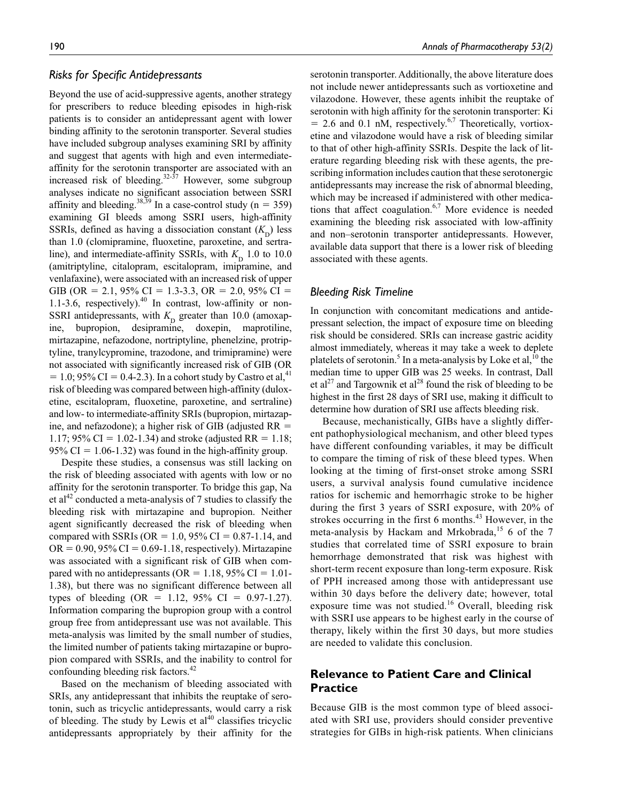## *Risks for Specific Antidepressants*

Beyond the use of acid-suppressive agents, another strategy for prescribers to reduce bleeding episodes in high-risk patients is to consider an antidepressant agent with lower binding affinity to the serotonin transporter. Several studies have included subgroup analyses examining SRI by affinity and suggest that agents with high and even intermediateaffinity for the serotonin transporter are associated with an increased risk of bleeding.32-37 However, some subgroup analyses indicate no significant association between SSRI affinity and bleeding.<sup>38,39</sup> In a case-control study ( $n = 359$ ) examining GI bleeds among SSRI users, high-affinity SSRIs, defined as having a dissociation constant  $(K<sub>n</sub>)$  less than 1.0 (clomipramine, fluoxetine, paroxetine, and sertraline), and intermediate-affinity SSRIs, with  $K<sub>n</sub>$  1.0 to 10.0 (amitriptyline, citalopram, escitalopram, imipramine, and venlafaxine), were associated with an increased risk of upper GIB (OR = 2.1, 95% CI = 1.3-3.3, OR = 2.0, 95% CI = 1.1-3.6, respectively). $40$  In contrast, low-affinity or non-SSRI antidepressants, with  $K<sub>D</sub>$  greater than 10.0 (amoxap-<br>ine, bupropion, desipramine, doxepin, maprotiline, bupropion, desipramine, doxepin, maprotiline, mirtazapine, nefazodone, nortriptyline, phenelzine, protriptyline, tranylcypromine, trazodone, and trimipramine) were not associated with significantly increased risk of GIB (OR  $= 1.0$ ; 95% CI = 0.4-2.3). In a cohort study by Castro et al,<sup>41</sup> risk of bleeding was compared between high-affinity (duloxetine, escitalopram, fluoxetine, paroxetine, and sertraline) and low- to intermediate-affinity SRIs (bupropion, mirtazapine, and nefazodone); a higher risk of GIB (adjusted RR = 1.17; 95% CI = 1.02-1.34) and stroke (adjusted RR = 1.18; 95% CI =  $1.06-1.32$ ) was found in the high-affinity group.

Despite these studies, a consensus was still lacking on the risk of bleeding associated with agents with low or no affinity for the serotonin transporter. To bridge this gap, Na et al<sup>42</sup> conducted a meta-analysis of 7 studies to classify the bleeding risk with mirtazapine and bupropion. Neither agent significantly decreased the risk of bleeding when compared with SSRIs (OR = 1.0, 95% CI =  $0.87$ -1.14, and  $OR = 0.90, 95\% \text{ CI} = 0.69 - 1.18$ , respectively). Mirtazapine was associated with a significant risk of GIB when compared with no antidepressants ( $OR = 1.18$ , 95% CI = 1.01-1.38), but there was no significant difference between all types of bleeding (OR = 1.12, 95% CI = 0.97-1.27). Information comparing the bupropion group with a control group free from antidepressant use was not available. This meta-analysis was limited by the small number of studies, the limited number of patients taking mirtazapine or bupropion compared with SSRIs, and the inability to control for confounding bleeding risk factors.<sup>42</sup>

Based on the mechanism of bleeding associated with SRIs, any antidepressant that inhibits the reuptake of serotonin, such as tricyclic antidepressants, would carry a risk of bleeding. The study by Lewis et  $al<sup>40</sup>$  classifies tricyclic antidepressants appropriately by their affinity for the serotonin transporter. Additionally, the above literature does not include newer antidepressants such as vortioxetine and vilazodone. However, these agents inhibit the reuptake of serotonin with high affinity for the serotonin transporter: Ki  $= 2.6$  and 0.1 nM, respectively.<sup>6,7</sup> Theoretically, vortioxetine and vilazodone would have a risk of bleeding similar to that of other high-affinity SSRIs. Despite the lack of literature regarding bleeding risk with these agents, the prescribing information includes caution that these serotonergic antidepressants may increase the risk of abnormal bleeding, which may be increased if administered with other medications that affect coagulation.<sup>6,7</sup> More evidence is needed examining the bleeding risk associated with low-affinity and non–serotonin transporter antidepressants. However, available data support that there is a lower risk of bleeding associated with these agents.

## *Bleeding Risk Timeline*

In conjunction with concomitant medications and antidepressant selection, the impact of exposure time on bleeding risk should be considered. SRIs can increase gastric acidity almost immediately, whereas it may take a week to deplete platelets of serotonin.<sup>5</sup> In a meta-analysis by Loke et al,  $10$  the median time to upper GIB was 25 weeks. In contrast, Dall et al<sup>27</sup> and Targownik et al<sup>28</sup> found the risk of bleeding to be highest in the first 28 days of SRI use, making it difficult to determine how duration of SRI use affects bleeding risk.

Because, mechanistically, GIBs have a slightly different pathophysiological mechanism, and other bleed types have different confounding variables, it may be difficult to compare the timing of risk of these bleed types. When looking at the timing of first-onset stroke among SSRI users, a survival analysis found cumulative incidence ratios for ischemic and hemorrhagic stroke to be higher during the first 3 years of SSRI exposure, with 20% of strokes occurring in the first 6 months.<sup>43</sup> However, in the meta-analysis by Hackam and Mrkobrada,<sup>15</sup> 6 of the 7 studies that correlated time of SSRI exposure to brain hemorrhage demonstrated that risk was highest with short-term recent exposure than long-term exposure. Risk of PPH increased among those with antidepressant use within 30 days before the delivery date; however, total exposure time was not studied.<sup>16</sup> Overall, bleeding risk with SSRI use appears to be highest early in the course of therapy, likely within the first 30 days, but more studies are needed to validate this conclusion.

# **Relevance to Patient Care and Clinical Practice**

Because GIB is the most common type of bleed associated with SRI use, providers should consider preventive strategies for GIBs in high-risk patients. When clinicians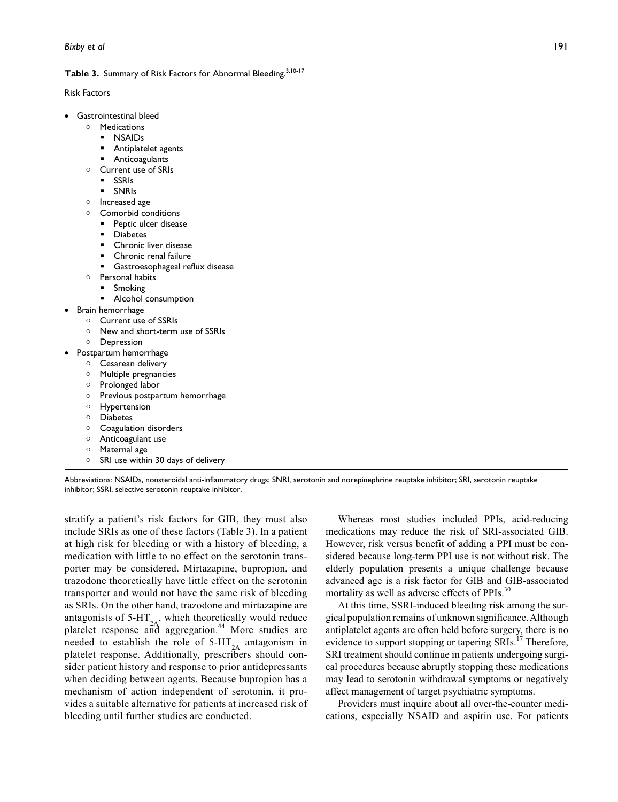# Table 3. Summary of Risk Factors for Abnormal Bleeding.<sup>3,10-17</sup>

#### Risk Factors

- Gastrointestinal bleed
	- Medications
		- NSAIDs
		- Antiplatelet agents
		- Anticoagulants
	- Current use of SRIs
		- SSRIs
		- SNRIs
	- o Increased age
	- Comorbid conditions
		- Peptic ulcer disease
		- Diabetes
		- Chronic liver disease
		- Chronic renal failure
		- Gastroesophageal reflux disease
	- o Personal habits
		- Smoking
	- Alcohol consumption
- Brain hemorrhage
	- Current use of SSRIs New and short-term use of SSRIs
	- Depression
	-
	- Postpartum hemorrhage Cesarean delivery
		- Multiple pregnancies
		- o Prolonged labor
		-
		- o Previous postpartum hemorrhage
		- Hypertension
		- Diabetes
		- Coagulation disorders
		- Anticoagulant use
		- Maternal age
		- $\circ$  SRI use within 30 days of delivery



stratify a patient's risk factors for GIB, they must also include SRIs as one of these factors (Table 3). In a patient at high risk for bleeding or with a history of bleeding, a medication with little to no effect on the serotonin transporter may be considered. Mirtazapine, bupropion, and trazodone theoretically have little effect on the serotonin transporter and would not have the same risk of bleeding as SRIs. On the other hand, trazodone and mirtazapine are antagonists of 5-HT $_{2A}$ , which theoretically would reduce platelet response and aggregation.<sup>44</sup> More studies are needed to establish the role of  $5-HT_{2A}$  antagonism in platelet response. Additionally, prescribers should consider patient history and response to prior antidepressants when deciding between agents. Because bupropion has a mechanism of action independent of serotonin, it provides a suitable alternative for patients at increased risk of bleeding until further studies are conducted.

Whereas most studies included PPIs, acid-reducing medications may reduce the risk of SRI-associated GIB. However, risk versus benefit of adding a PPI must be considered because long-term PPI use is not without risk. The elderly population presents a unique challenge because advanced age is a risk factor for GIB and GIB-associated mortality as well as adverse effects of PPIs.<sup>30</sup>

At this time, SSRI-induced bleeding risk among the surgical population remains of unknown significance. Although antiplatelet agents are often held before surgery, there is no evidence to support stopping or tapering SRIs.<sup>17</sup> Therefore, SRI treatment should continue in patients undergoing surgical procedures because abruptly stopping these medications may lead to serotonin withdrawal symptoms or negatively affect management of target psychiatric symptoms.

Providers must inquire about all over-the-counter medications, especially NSAID and aspirin use. For patients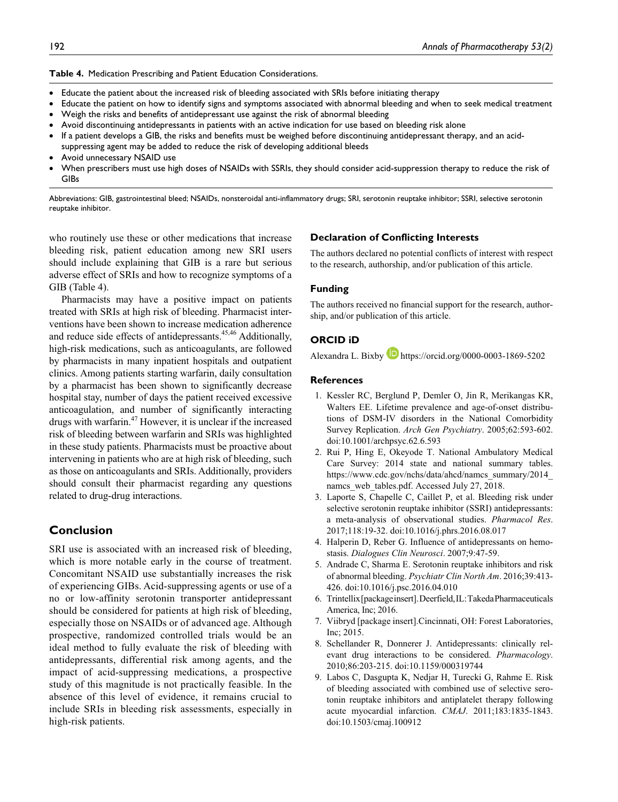**Table 4.** Medication Prescribing and Patient Education Considerations.

- Educate the patient about the increased risk of bleeding associated with SRIs before initiating therapy
- Educate the patient on how to identify signs and symptoms associated with abnormal bleeding and when to seek medical treatment
- Weigh the risks and benefits of antidepressant use against the risk of abnormal bleeding
- Avoid discontinuing antidepressants in patients with an active indication for use based on bleeding risk alone
- If a patient develops a GIB, the risks and benefits must be weighed before discontinuing antidepressant therapy, and an acidsuppressing agent may be added to reduce the risk of developing additional bleeds
- Avoid unnecessary NSAID use
- When prescribers must use high doses of NSAIDs with SSRIs, they should consider acid-suppression therapy to reduce the risk of GIBs

Abbreviations: GIB, gastrointestinal bleed; NSAIDs, nonsteroidal anti-inflammatory drugs; SRI, serotonin reuptake inhibitor; SSRI, selective serotonin reuptake inhibitor.

who routinely use these or other medications that increase bleeding risk, patient education among new SRI users should include explaining that GIB is a rare but serious adverse effect of SRIs and how to recognize symptoms of a GIB (Table 4).

Pharmacists may have a positive impact on patients treated with SRIs at high risk of bleeding. Pharmacist interventions have been shown to increase medication adherence and reduce side effects of antidepressants.<sup>45,46</sup> Additionally, high-risk medications, such as anticoagulants, are followed by pharmacists in many inpatient hospitals and outpatient clinics. Among patients starting warfarin, daily consultation by a pharmacist has been shown to significantly decrease hospital stay, number of days the patient received excessive anticoagulation, and number of significantly interacting drugs with warfarin. $47$  However, it is unclear if the increased risk of bleeding between warfarin and SRIs was highlighted in these study patients. Pharmacists must be proactive about intervening in patients who are at high risk of bleeding, such as those on anticoagulants and SRIs. Additionally, providers should consult their pharmacist regarding any questions related to drug-drug interactions.

# **Conclusion**

SRI use is associated with an increased risk of bleeding, which is more notable early in the course of treatment. Concomitant NSAID use substantially increases the risk of experiencing GIBs. Acid-suppressing agents or use of a no or low-affinity serotonin transporter antidepressant should be considered for patients at high risk of bleeding, especially those on NSAIDs or of advanced age. Although prospective, randomized controlled trials would be an ideal method to fully evaluate the risk of bleeding with antidepressants, differential risk among agents, and the impact of acid-suppressing medications, a prospective study of this magnitude is not practically feasible. In the absence of this level of evidence, it remains crucial to include SRIs in bleeding risk assessments, especially in high-risk patients.

#### **Declaration of Conflicting Interests**

The authors declared no potential conflicts of interest with respect to the research, authorship, and/or publication of this article.

#### **Funding**

The authors received no financial support for the research, authorship, and/or publication of this article.

## **ORCID iD**

Alexandra L. Bixby **D** <https://orcid.org/0000-0003-1869-5202>

#### **References**

- 1. Kessler RC, Berglund P, Demler O, Jin R, Merikangas KR, Walters EE. Lifetime prevalence and age-of-onset distributions of DSM-IV disorders in the National Comorbidity Survey Replication. *Arch Gen Psychiatry*. 2005;62:593-602. doi:10.1001/archpsyc.62.6.593
- 2. Rui P, Hing E, Okeyode T. National Ambulatory Medical Care Survey: 2014 state and national summary tables. [https://www.cdc.gov/nchs/data/ahcd/namcs\\_summary/2014\\_](https://www.cdc.gov/nchs/data/ahcd/namcs_summary/2014_namcs_web_tables.pdf) namcs web tables.pdf. Accessed July 27, 2018.
- 3. Laporte S, Chapelle C, Caillet P, et al. Bleeding risk under selective serotonin reuptake inhibitor (SSRI) antidepressants: a meta-analysis of observational studies. *Pharmacol Res*. 2017;118:19-32. doi:10.1016/j.phrs.2016.08.017
- 4. Halperin D, Reber G. Influence of antidepressants on hemostasis. *Dialogues Clin Neurosci*. 2007;9:47-59.
- 5. Andrade C, Sharma E. Serotonin reuptake inhibitors and risk of abnormal bleeding. *Psychiatr Clin North Am*. 2016;39:413- 426. doi:10.1016/j.psc.2016.04.010
- 6. Trintellix [package insert]. Deerfield, IL: Takeda Pharmaceuticals America, Inc; 2016.
- 7. Viibryd [package insert].Cincinnati, OH: Forest Laboratories, Inc; 2015.
- 8. Schellander R, Donnerer J. Antidepressants: clinically relevant drug interactions to be considered. *Pharmacology*. 2010;86:203-215. doi:10.1159/000319744
- 9. Labos C, Dasgupta K, Nedjar H, Turecki G, Rahme E. Risk of bleeding associated with combined use of selective serotonin reuptake inhibitors and antiplatelet therapy following acute myocardial infarction. *CMAJ*. 2011;183:1835-1843. doi:10.1503/cmaj.100912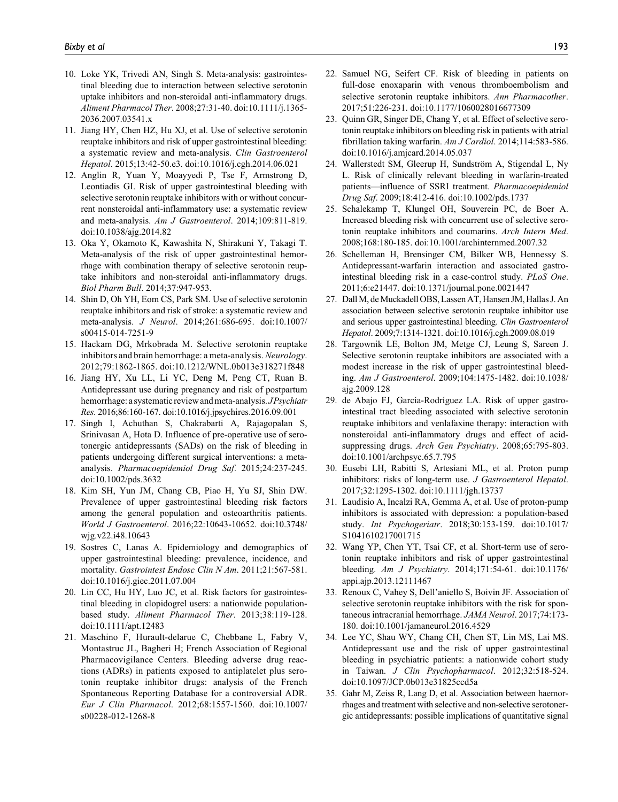- 10. Loke YK, Trivedi AN, Singh S. Meta-analysis: gastrointestinal bleeding due to interaction between selective serotonin uptake inhibitors and non-steroidal anti-inflammatory drugs. *Aliment Pharmacol Ther*. 2008;27:31-40. doi:10.1111/j.1365- 2036.2007.03541.x
- 11. Jiang HY, Chen HZ, Hu XJ, et al. Use of selective serotonin reuptake inhibitors and risk of upper gastrointestinal bleeding: a systematic review and meta-analysis. *Clin Gastroenterol Hepatol*. 2015;13:42-50.e3. doi:10.1016/j.cgh.2014.06.021
- 12. Anglin R, Yuan Y, Moayyedi P, Tse F, Armstrong D, Leontiadis GI. Risk of upper gastrointestinal bleeding with selective serotonin reuptake inhibitors with or without concurrent nonsteroidal anti-inflammatory use: a systematic review and meta-analysis. *Am J Gastroenterol*. 2014;109:811-819. doi:10.1038/ajg.2014.82
- 13. Oka Y, Okamoto K, Kawashita N, Shirakuni Y, Takagi T. Meta-analysis of the risk of upper gastrointestinal hemorrhage with combination therapy of selective serotonin reuptake inhibitors and non-steroidal anti-inflammatory drugs. *Biol Pharm Bull*. 2014;37:947-953.
- 14. Shin D, Oh YH, Eom CS, Park SM. Use of selective serotonin reuptake inhibitors and risk of stroke: a systematic review and meta-analysis. *J Neurol*. 2014;261:686-695. doi:10.1007/ s00415-014-7251-9
- 15. Hackam DG, Mrkobrada M. Selective serotonin reuptake inhibitors and brain hemorrhage: a meta-analysis. *Neurology*. 2012;79:1862-1865. doi:10.1212/WNL.0b013e318271f848
- 16. Jiang HY, Xu LL, Li YC, Deng M, Peng CT, Ruan B. Antidepressant use during pregnancy and risk of postpartum hemorrhage: a systematic review and meta-analysis. *J Psychiatr Res*. 2016;86:160-167. doi:10.1016/j.jpsychires.2016.09.001
- 17. Singh I, Achuthan S, Chakrabarti A, Rajagopalan S, Srinivasan A, Hota D. Influence of pre-operative use of serotonergic antidepressants (SADs) on the risk of bleeding in patients undergoing different surgical interventions: a metaanalysis. *Pharmacoepidemiol Drug Saf*. 2015;24:237-245. doi:10.1002/pds.3632
- 18. Kim SH, Yun JM, Chang CB, Piao H, Yu SJ, Shin DW. Prevalence of upper gastrointestinal bleeding risk factors among the general population and osteoarthritis patients. *World J Gastroenterol*. 2016;22:10643-10652. doi:10.3748/ wjg.v22.i48.10643
- 19. Sostres C, Lanas A. Epidemiology and demographics of upper gastrointestinal bleeding: prevalence, incidence, and mortality. *Gastrointest Endosc Clin N Am*. 2011;21:567-581. doi:10.1016/j.giec.2011.07.004
- 20. Lin CC, Hu HY, Luo JC, et al. Risk factors for gastrointestinal bleeding in clopidogrel users: a nationwide populationbased study. *Aliment Pharmacol Ther*. 2013;38:119-128. doi:10.1111/apt.12483
- 21. Maschino F, Hurault-delarue C, Chebbane L, Fabry V, Montastruc JL, Bagheri H; French Association of Regional Pharmacovigilance Centers. Bleeding adverse drug reactions (ADRs) in patients exposed to antiplatelet plus serotonin reuptake inhibitor drugs: analysis of the French Spontaneous Reporting Database for a controversial ADR. *Eur J Clin Pharmacol*. 2012;68:1557-1560. doi:10.1007/ s00228-012-1268-8
- 22. Samuel NG, Seifert CF. Risk of bleeding in patients on full-dose enoxaparin with venous thromboembolism and selective serotonin reuptake inhibitors. *Ann Pharmacother*. 2017;51:226-231. doi:10.1177/1060028016677309
- 23. Quinn GR, Singer DE, Chang Y, et al. Effect of selective serotonin reuptake inhibitors on bleeding risk in patients with atrial fibrillation taking warfarin. *Am J Cardiol*. 2014;114:583-586. doi:10.1016/j.amjcard.2014.05.037
- 24. Wallerstedt SM, Gleerup H, Sundström A, Stigendal L, Ny L. Risk of clinically relevant bleeding in warfarin-treated patients—influence of SSRI treatment. *Pharmacoepidemiol Drug Saf*. 2009;18:412-416. doi:10.1002/pds.1737
- 25. Schalekamp T, Klungel OH, Souverein PC, de Boer A. Increased bleeding risk with concurrent use of selective serotonin reuptake inhibitors and coumarins. *Arch Intern Med*. 2008;168:180-185. doi:10.1001/archinternmed.2007.32
- 26. Schelleman H, Brensinger CM, Bilker WB, Hennessy S. Antidepressant-warfarin interaction and associated gastrointestinal bleeding risk in a case-control study. *PLoS One*. 2011;6:e21447. doi:10.1371/journal.pone.0021447
- 27. Dall M, de Muckadell OBS, Lassen AT, Hansen JM, Hallas J. An association between selective serotonin reuptake inhibitor use and serious upper gastrointestinal bleeding. *Clin Gastroenterol Hepatol*. 2009;7:1314-1321. doi:10.1016/j.cgh.2009.08.019
- 28. Targownik LE, Bolton JM, Metge CJ, Leung S, Sareen J. Selective serotonin reuptake inhibitors are associated with a modest increase in the risk of upper gastrointestinal bleeding. *Am J Gastroenterol*. 2009;104:1475-1482. doi:10.1038/ ajg.2009.128
- 29. de Abajo FJ, García-Rodríguez LA. Risk of upper gastrointestinal tract bleeding associated with selective serotonin reuptake inhibitors and venlafaxine therapy: interaction with nonsteroidal anti-inflammatory drugs and effect of acidsuppressing drugs. *Arch Gen Psychiatry*. 2008;65:795-803. doi:10.1001/archpsyc.65.7.795
- 30. Eusebi LH, Rabitti S, Artesiani ML, et al. Proton pump inhibitors: risks of long-term use. *J Gastroenterol Hepatol*. 2017;32:1295-1302. doi:10.1111/jgh.13737
- 31. Laudisio A, Incalzi RA, Gemma A, et al. Use of proton-pump inhibitors is associated with depression: a population-based study. *Int Psychogeriatr*. 2018;30:153-159. doi:10.1017/ S1041610217001715
- 32. Wang YP, Chen YT, Tsai CF, et al. Short-term use of serotonin reuptake inhibitors and risk of upper gastrointestinal bleeding. *Am J Psychiatry*. 2014;171:54-61. doi:10.1176/ appi.ajp.2013.12111467
- 33. Renoux C, Vahey S, Dell'aniello S, Boivin JF. Association of selective serotonin reuptake inhibitors with the risk for spontaneous intracranial hemorrhage. *JAMA Neurol*. 2017;74:173- 180. doi:10.1001/jamaneurol.2016.4529
- 34. Lee YC, Shau WY, Chang CH, Chen ST, Lin MS, Lai MS. Antidepressant use and the risk of upper gastrointestinal bleeding in psychiatric patients: a nationwide cohort study in Taiwan. *J Clin Psychopharmacol*. 2012;32:518-524. doi:10.1097/JCP.0b013e31825ccd5a
- 35. Gahr M, Zeiss R, Lang D, et al. Association between haemorrhages and treatment with selective and non-selective serotonergic antidepressants: possible implications of quantitative signal